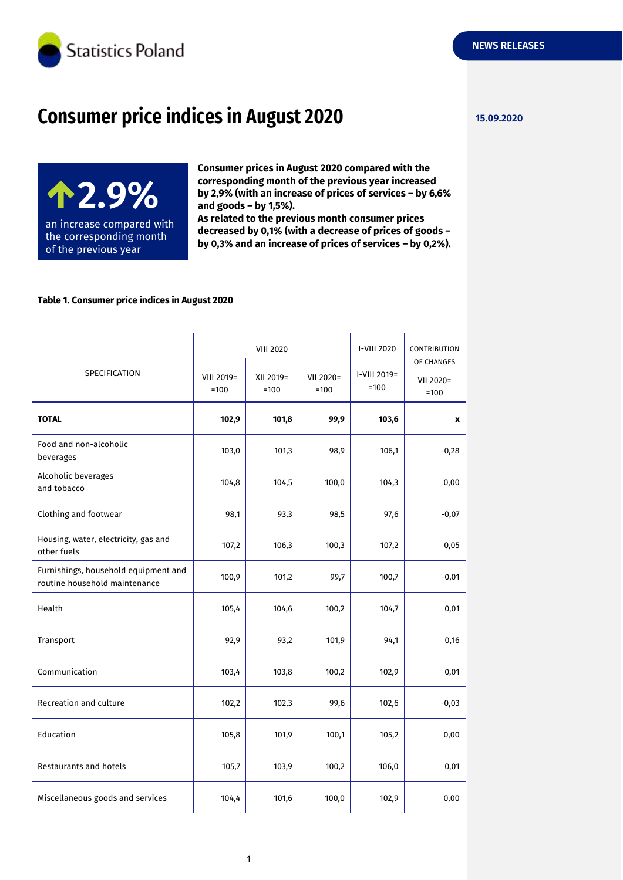

# **Consumer price indices in August 2020 15.09.2020**

**2.9%** an increase compared with the corresponding month of the previous year

**Consumer prices in August 2020 compared with the corresponding month of the previous year increased by 2,9% (with an increase of prices of services – by 6,6% and goods – by 1,5%).**

**As related to the previous month consumer prices decreased by 0,1% (with a decrease of prices of goods – by 0,3% and an increase of prices of services – by 0,2%).**

## **Table 1. Consumer price indices in August 2020**

|                                                                       |                      |                     | <b>VIII 2020</b>    |                        | CONTRIBUTION                      |
|-----------------------------------------------------------------------|----------------------|---------------------|---------------------|------------------------|-----------------------------------|
| SPECIFICATION                                                         | VIII 2019=<br>$=100$ | XII 2019=<br>$=100$ | VII 2020=<br>$=100$ | I-VIII 2019=<br>$=100$ | OF CHANGES<br>VII 2020=<br>$=100$ |
| <b>TOTAL</b>                                                          | 102,9                | 101,8               | 99,9                | 103,6                  | x                                 |
| Food and non-alcoholic<br>beverages                                   | 103,0                | 101,3               | 98,9                | 106,1                  | $-0,28$                           |
| Alcoholic beverages<br>and tobacco                                    | 104,8                | 104,5               | 100,0               | 104,3                  | 0,00                              |
| Clothing and footwear                                                 | 98,1                 | 93,3                | 98,5                | 97,6                   | $-0,07$                           |
| Housing, water, electricity, gas and<br>other fuels                   | 107,2                | 106,3               | 100,3               | 107,2                  | 0,05                              |
| Furnishings, household equipment and<br>routine household maintenance | 100,9                | 101,2               | 99,7                | 100,7                  | $-0,01$                           |
| Health                                                                | 105,4                | 104,6               | 100,2               | 104,7                  | 0,01                              |
| Transport                                                             | 92,9                 | 93,2                | 101,9               | 94,1                   | 0,16                              |
| Communication                                                         | 103,4                | 103,8               | 100,2               | 102,9                  | 0,01                              |
| Recreation and culture                                                | 102,2                | 102,3               | 99,6                | 102,6                  | $-0,03$                           |
| Education                                                             | 105,8                | 101,9               | 100,1               | 105,2                  | 0,00                              |
| Restaurants and hotels                                                | 105,7                | 103,9               | 100,2               | 106,0                  | 0,01                              |
| Miscellaneous goods and services                                      | 104,4                | 101,6               | 100,0               | 102,9                  | 0,00                              |

**NEWS RELEASES**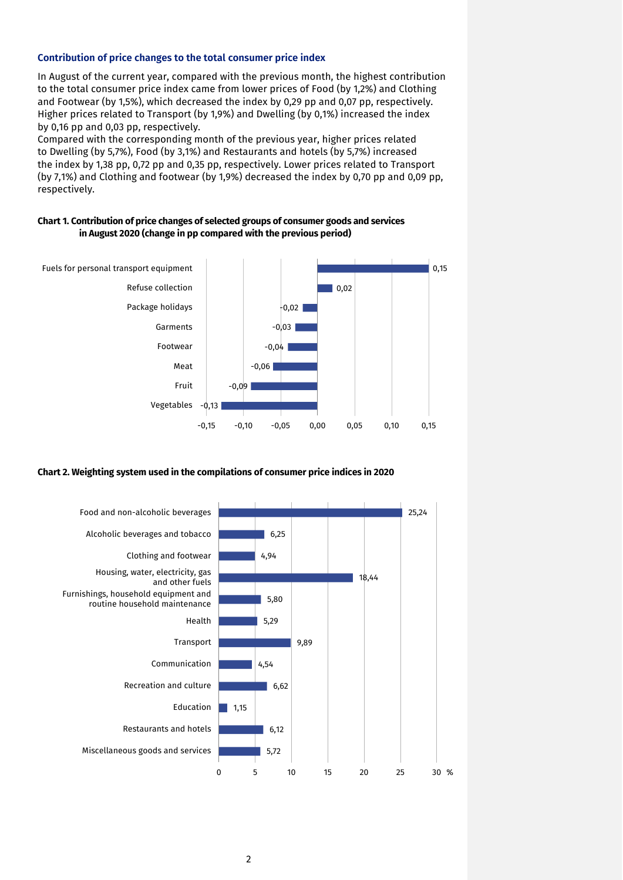#### **Contribution of price changes to the total consumer price index**

In August of the current year, compared with the previous month, the highest contribution to the total consumer price index came from lower prices of Food (by 1,2%) and Clothing and Footwear (by 1,5%), which decreased the index by 0,29 pp and 0,07 pp, respectively. Higher prices related to Transport (by 1,9%) and Dwelling (by 0,1%) increased the index by 0,16 pp and 0,03 pp, respectively.

Compared with the corresponding month of the previous year, higher prices related to Dwelling (by 5,7%), Food (by 3,1%) and Restaurants and hotels (by 5,7%) increased the index by 1,38 pp, 0,72 pp and 0,35 pp, respectively. Lower prices related to Transport (by 7,1%) and Clothing and footwear (by 1,9%) decreased the index by 0,70 pp and 0,09 pp, respectively.

### **Chart 1. Contribution of price changes of selected groups of consumer goods and services in August 2020 (change in pp compared with the previous period)**



#### **Chart 2. Weighting system used in the compilations of consumer price indices in 2020**

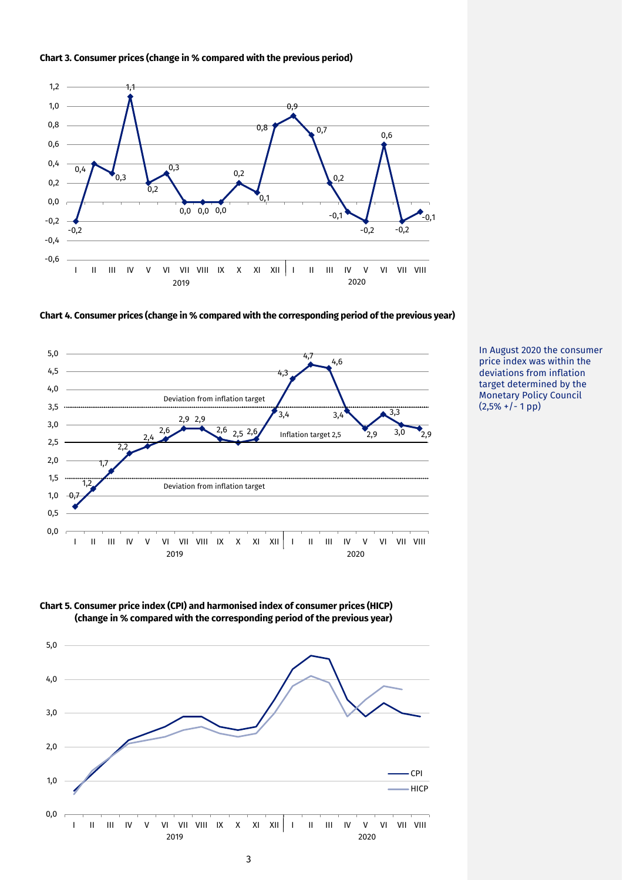



**Chart 4. Consumer prices (change in % compared with the corresponding period of the previous year)**







In August 2020 the consumer price index was within the deviations from inflation target determined by the Monetary Policy Council  $(2,5\% + (-1)$ pp)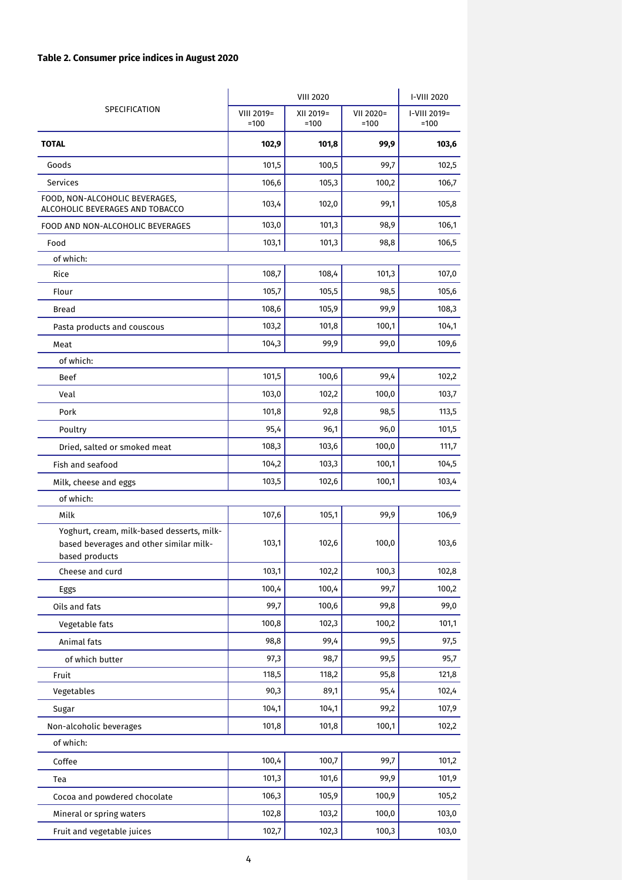# **Table 2. Consumer price indices in August 2020**

|                                                                                                         | <b>VIII 2020</b>     |                     |                     | I-VIII 2020            |
|---------------------------------------------------------------------------------------------------------|----------------------|---------------------|---------------------|------------------------|
| SPECIFICATION                                                                                           | VIII 2019=<br>$=100$ | XII 2019=<br>$=100$ | VII 2020=<br>$=100$ | I-VIII 2019=<br>$=100$ |
| <b>TOTAL</b>                                                                                            | 102,9                | 101,8               | 99,9                | 103,6                  |
| Goods                                                                                                   | 101,5                | 100,5               | 99,7                | 102,5                  |
| Services                                                                                                | 106,6                | 105,3               | 100,2               | 106,7                  |
| FOOD, NON-ALCOHOLIC BEVERAGES,<br>ALCOHOLIC BEVERAGES AND TOBACCO                                       | 103,4                | 102,0               | 99,1                | 105,8                  |
| FOOD AND NON-ALCOHOLIC BEVERAGES                                                                        | 103,0                | 101,3               | 98,9                | 106,1                  |
| Food                                                                                                    | 103,1                | 101,3               | 98,8                | 106,5                  |
| of which:                                                                                               |                      |                     |                     |                        |
| Rice                                                                                                    | 108,7                | 108,4               | 101,3               | 107,0                  |
| Flour                                                                                                   | 105,7                | 105,5               | 98,5                | 105,6                  |
| <b>Bread</b>                                                                                            | 108,6                | 105,9               | 99,9                | 108,3                  |
| Pasta products and couscous                                                                             | 103,2                | 101,8               | 100,1               | 104,1                  |
| Meat                                                                                                    | 104,3                | 99,9                | 99,0                | 109,6                  |
| of which:                                                                                               |                      |                     |                     |                        |
| <b>Beef</b>                                                                                             | 101,5                | 100,6               | 99,4                | 102,2                  |
| Veal                                                                                                    | 103,0                | 102,2               | 100,0               | 103,7                  |
| Pork                                                                                                    | 101,8                | 92,8                | 98,5                | 113,5                  |
| Poultry                                                                                                 | 95,4                 | 96,1                | 96,0                | 101,5                  |
| Dried, salted or smoked meat                                                                            | 108,3                | 103,6               | 100,0               | 111,7                  |
| Fish and seafood                                                                                        | 104,2                | 103,3               | 100,1               | 104,5                  |
| Milk, cheese and eggs                                                                                   | 103,5                | 102,6               | 100,1               | 103,4                  |
| of which:                                                                                               |                      |                     |                     |                        |
| Milk                                                                                                    | 107,6                | 105,1               | 99,9                | 106,9                  |
| Yoghurt, cream, milk-based desserts, milk-<br>based beverages and other similar milk-<br>based products | 103,1                | 102,6               | 100,0               | 103,6                  |
| Cheese and curd                                                                                         | 103,1                | 102,2               | 100,3               | 102,8                  |
| Eggs                                                                                                    | 100,4                | 100,4               | 99,7                | 100,2                  |
| Oils and fats                                                                                           | 99,7                 | 100,6               | 99,8                | 99,0                   |
| Vegetable fats                                                                                          | 100,8                | 102,3               | 100,2               | 101,1                  |
| Animal fats                                                                                             | 98,8                 | 99,4                | 99,5                | 97,5                   |
| of which butter                                                                                         | 97,3                 | 98,7                | 99,5                | 95,7                   |
| Fruit                                                                                                   | 118,5                | 118,2               | 95,8                | 121,8                  |
| Vegetables                                                                                              | 90,3                 | 89,1                | 95,4                | 102,4                  |
| Sugar                                                                                                   | 104,1                | 104,1               | 99,2                | 107,9                  |
| Non-alcoholic beverages                                                                                 | 101,8                | 101,8               | 100,1               | 102,2                  |
| of which:                                                                                               |                      |                     |                     |                        |
| Coffee                                                                                                  | 100,4                | 100,7               | 99,7                | 101,2                  |
| Tea                                                                                                     | 101,3                | 101,6               | 99,9                | 101,9                  |
| Cocoa and powdered chocolate                                                                            | 106,3                | 105,9               | 100,9               | 105,2                  |
| Mineral or spring waters                                                                                | 102,8                | 103,2               | 100,0               | 103,0                  |
| Fruit and vegetable juices                                                                              | 102,7                | 102,3               | 100,3               | 103,0                  |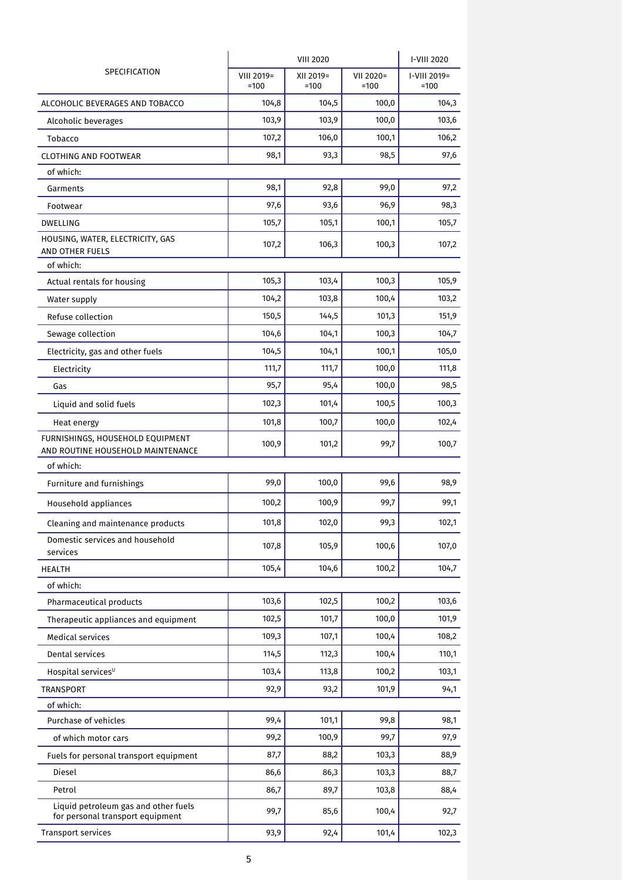| SPECIFICATION                                                            |                      | I-VIII 2020         |                     |                        |
|--------------------------------------------------------------------------|----------------------|---------------------|---------------------|------------------------|
|                                                                          | VIII 2019=<br>$=100$ | XII 2019=<br>$=100$ | VII 2020=<br>$=100$ | I-VIII 2019=<br>$=100$ |
| ALCOHOLIC BEVERAGES AND TOBACCO                                          | 104,8                | 104,5               | 100,0               | 104,3                  |
| Alcoholic beverages                                                      | 103,9                | 103,9               | 100,0               | 103,6                  |
| Tobacco                                                                  | 107,2                | 106,0               | 100,1               | 106,2                  |
| <b>CLOTHING AND FOOTWEAR</b>                                             | 98,1                 | 93,3                | 98,5                | 97,6                   |
| of which:                                                                |                      |                     |                     |                        |
| Garments                                                                 | 98,1                 | 92,8                | 99,0                | 97,2                   |
| Footwear                                                                 | 97,6                 | 93,6                | 96,9                | 98,3                   |
| <b>DWELLING</b>                                                          | 105,7                | 105,1               | 100,1               | 105,7                  |
| HOUSING, WATER, ELECTRICITY, GAS<br>AND OTHER FUELS                      | 107,2                | 106,3               | 100,3               | 107,2                  |
| of which:                                                                |                      |                     |                     |                        |
| Actual rentals for housing                                               | 105,3                | 103,4               | 100,3               | 105,9                  |
| Water supply                                                             | 104,2                | 103,8               | 100,4               | 103,2                  |
| Refuse collection                                                        | 150,5                | 144,5               | 101,3               | 151,9                  |
| Sewage collection                                                        | 104,6                | 104,1               | 100,3               | 104,7                  |
| Electricity, gas and other fuels                                         | 104,5                | 104,1               | 100,1               | 105,0                  |
| Electricity                                                              | 111,7                | 111,7               | 100,0               | 111,8                  |
| Gas                                                                      | 95,7                 | 95,4                | 100,0               | 98,5                   |
| Liquid and solid fuels                                                   | 102,3                | 101,4               | 100,5               | 100,3                  |
| Heat energy                                                              | 101,8                | 100,7               | 100,0               | 102,4                  |
| FURNISHINGS, HOUSEHOLD EQUIPMENT<br>AND ROUTINE HOUSEHOLD MAINTENANCE    | 100,9                | 101,2               | 99,7                | 100,7                  |
| of which:                                                                |                      |                     |                     |                        |
| Furniture and furnishings                                                | 99,0                 | 100,0               | 99,6                | 98,9                   |
| Household appliances                                                     | 100,2                | 100,9               | 99,7                | 99,1                   |
| Cleaning and maintenance products                                        | 101,8                | 102,0               | 99,3                | 102,1                  |
| Domestic services and household<br>services                              | 107,8                | 105,9               | 100,6               | 107,0                  |
| <b>HEALTH</b>                                                            | 105,4                | 104,6               | 100,2               | 104,7                  |
| of which:                                                                |                      |                     |                     |                        |
| Pharmaceutical products                                                  | 103,6                | 102,5               | 100,2               | 103,6                  |
| Therapeutic appliances and equipment                                     | 102,5                | 101,7               | 100,0               | 101,9                  |
| <b>Medical services</b>                                                  | 109,3                | 107,1               | 100,4               | 108,2                  |
| Dental services                                                          | 114,5                | 112,3               | 100,4               | 110,1                  |
| Hospital services <sup>U</sup>                                           | 103,4                | 113,8               | 100,2               | 103,1                  |
| <b>TRANSPORT</b>                                                         | 92,9                 | 93,2                | 101,9               | 94,1                   |
| of which:                                                                |                      |                     |                     |                        |
| Purchase of vehicles                                                     | 99,4                 | 101,1               | 99,8                | 98,1                   |
| of which motor cars                                                      | 99,2                 | 100,9               | 99,7                | 97,9                   |
| Fuels for personal transport equipment                                   | 87,7                 | 88,2                | 103,3               | 88,9                   |
| Diesel                                                                   | 86,6                 | 86,3                | 103,3               | 88,7                   |
| Petrol                                                                   | 86,7                 | 89,7                | 103,8               | 88,4                   |
| Liquid petroleum gas and other fuels<br>for personal transport equipment | 99,7                 | 85,6                | 100,4               | 92,7                   |
| <b>Transport services</b>                                                | 93,9                 | 92,4                | 101,4               | 102,3                  |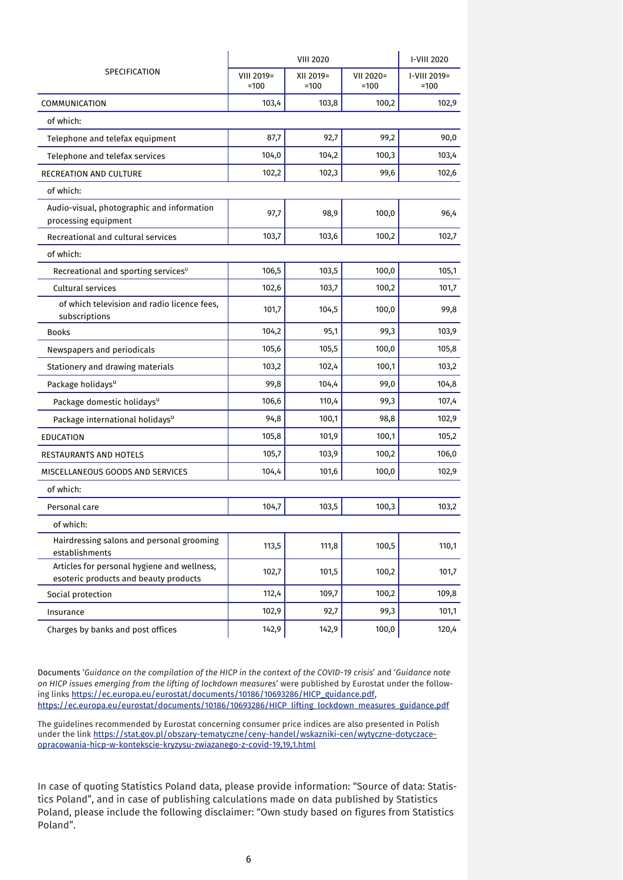| SPECIFICATION                                                                        |                      | I-VIII 2020         |                     |                        |
|--------------------------------------------------------------------------------------|----------------------|---------------------|---------------------|------------------------|
|                                                                                      | VIII 2019=<br>$=100$ | XII 2019=<br>$=100$ | VII 2020=<br>$=100$ | I-VIII 2019=<br>$=100$ |
| COMMUNICATION                                                                        | 103,4                | 103,8               | 100,2               | 102,9                  |
| of which:                                                                            |                      |                     |                     |                        |
| Telephone and telefax equipment                                                      | 87,7                 | 92,7                | 99,2                | 90,0                   |
| Telephone and telefax services                                                       | 104,0                | 104,2               | 100,3               | 103,4                  |
| RECREATION AND CULTURE                                                               | 102,2                | 102,3               | 99,6                | 102,6                  |
| of which:                                                                            |                      |                     |                     |                        |
| Audio-visual, photographic and information<br>processing equipment                   | 97,7                 | 98,9                | 100,0               | 96,4                   |
| Recreational and cultural services                                                   | 103,7                | 103,6               | 100,2               | 102,7                  |
| of which:                                                                            |                      |                     |                     |                        |
| Recreational and sporting services <sup>U</sup>                                      | 106,5                | 103,5               | 100,0               | 105,1                  |
| Cultural services                                                                    | 102,6                | 103,7               | 100,2               | 101,7                  |
| of which television and radio licence fees,<br>subscriptions                         | 101,7                | 104,5               | 100,0               | 99,8                   |
| <b>Books</b>                                                                         | 104,2                | 95,1                | 99,3                | 103,9                  |
| Newspapers and periodicals                                                           | 105,6                | 105,5               | 100,0               | 105,8                  |
| Stationery and drawing materials                                                     | 103,2                | 102,4               | 100,1               | 103,2                  |
| Package holidays <sup>u</sup>                                                        | 99,8                 | 104,4               | 99,0                | 104,8                  |
| Package domestic holidays <sup>u</sup>                                               | 106,6                | 110,4               | 99,3                | 107,4                  |
| Package international holidays <sup>u</sup>                                          | 94,8                 | 100,1               | 98,8                | 102,9                  |
| <b>EDUCATION</b>                                                                     | 105,8                | 101,9               | 100,1               | 105,2                  |
| RESTAURANTS AND HOTELS                                                               | 105,7                | 103,9               | 100,2               | 106,0                  |
| MISCELLANEOUS GOODS AND SERVICES                                                     | 104,4                | 101,6               | 100,0               | 102,9                  |
| of which:                                                                            |                      |                     |                     |                        |
| Personal care                                                                        | 104,7                | 103,5               | 100,3               | 103,2                  |
| of which:                                                                            |                      |                     |                     |                        |
| Hairdressing salons and personal grooming<br>establishments                          | 113,5                | 111,8               | 100,5               | 110,1                  |
| Articles for personal hygiene and wellness,<br>esoteric products and beauty products | 102,7                | 101,5               | 100,2               | 101,7                  |
| Social protection                                                                    | 112,4                | 109,7               | 100,2               | 109,8                  |
| Insurance                                                                            | 102,9                | 92,7                | 99,3                | 101,1                  |
| Charges by banks and post offices                                                    | 142,9                | 142,9               | 100,0               | 120,4                  |

Documents '*Guidance on the compilation of the HICP in the context of the COVID-19 crisis*' and '*Guidance note on HICP issues emerging from the lifting of lockdown measures*' were published by Eurostat under the following links [https://ec.europa.eu/eurostat/documents/10186/10693286/HICP\\_guidance.pdf,](https://ec.europa.eu/eurostat/documents/10186/10693286/HICP_guidance.pdf) [https://ec.europa.eu/eurostat/documents/10186/10693286/HICP\\_lifting\\_lockdown\\_measures\\_guidance.pdf](https://ec.europa.eu/eurostat/documents/10186/10693286/HICP_lifting_lockdown_measures_guidance.pdf)

The guidelines recommended by Eurostat concerning consumer price indices are also presented in Polish under the lin[k https://stat.gov.pl/obszary-tematyczne/ceny-handel/wskazniki-cen/wytyczne-dotyczace](https://stat.gov.pl/obszary-tematyczne/ceny-handel/wskazniki-cen/wytyczne-dotyczace-opracowania-hicp-w-kontekscie-kryzysu-zwiazanego-z-covid-19,19,1.html)[opracowania-hicp-w-kontekscie-kryzysu-zwiazanego-z-covid-19,19,1.html](https://stat.gov.pl/obszary-tematyczne/ceny-handel/wskazniki-cen/wytyczne-dotyczace-opracowania-hicp-w-kontekscie-kryzysu-zwiazanego-z-covid-19,19,1.html)

In case of quoting Statistics Poland data, please provide information: "Source of data: Statistics Poland", and in case of publishing calculations made on data published by Statistics Poland, please include the following disclaimer: "Own study based on figures from Statistics Poland".